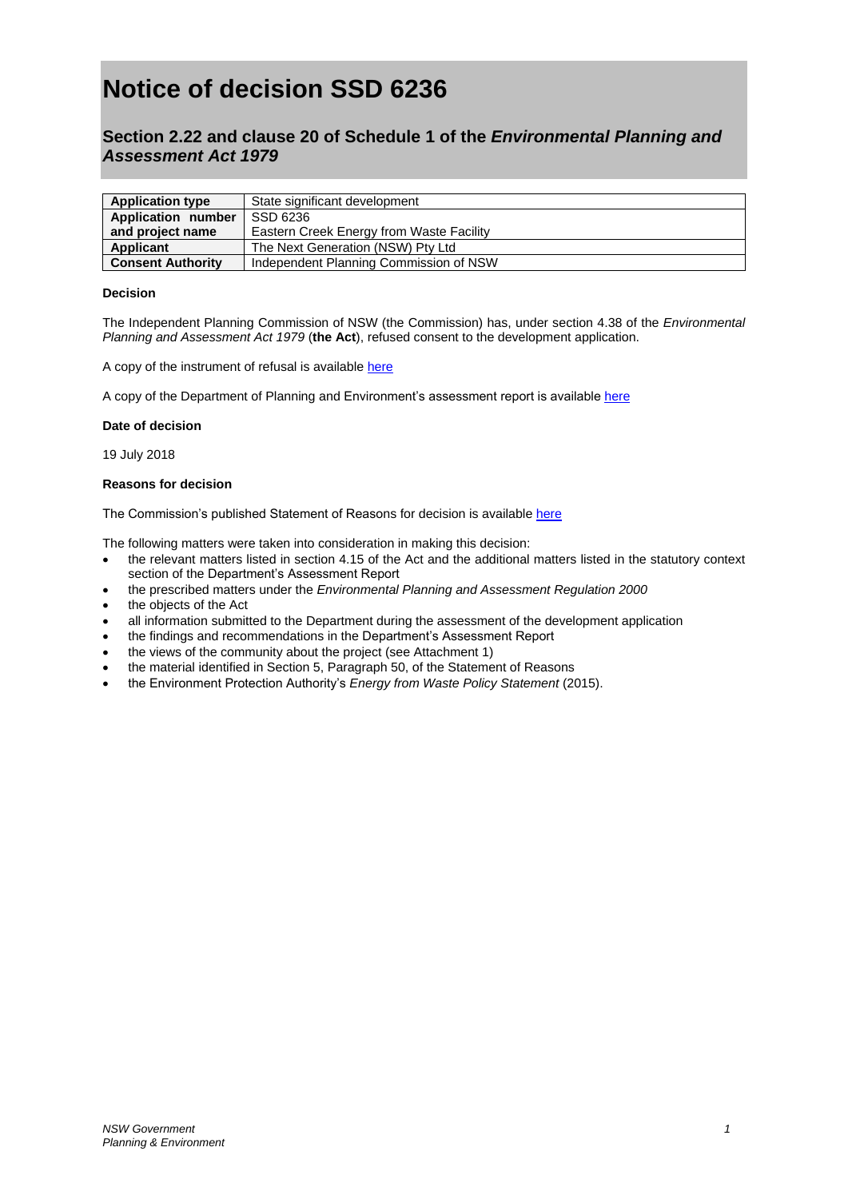# **Notice of decision SSD 6236**

# **Section 2.22 and clause 20 of Schedule 1 of the** *Environmental Planning and Assessment Act 1979*

| <b>Application type</b>  | State significant development            |
|--------------------------|------------------------------------------|
| Application number       | SSD 6236                                 |
| and project name         | Eastern Creek Energy from Waste Facility |
| Applicant                | The Next Generation (NSW) Pty Ltd        |
| <b>Consent Authority</b> | Independent Planning Commission of NSW   |

## **Decision**

The Independent Planning Commission of NSW (the Commission) has, under section 4.38 of the *Environmental Planning and Assessment Act 1979* (**the Act**), refused consent to the development application.

A copy of the instrument of refusal is available [here](http://ipcn.nsw.gov.au/resources/pac/media/files/pac/projects/2018/04/eastern-creek-energy-from-waste-facility-ssd-6236/determination/instrument-of-refusal--eastern-creek-energy-from-waste--ssd-6236.pdf.)

A copy of the Department of Planning and Environment's assessment report is availabl[e here](https://majorprojects.accelo.com/public/e467d83abdbbc976f9ddf4e3489ebeb7/Assessment%20Report%20-%202018%20-%20Eastern%20Creek%20EfW%20-%20SSD%206236%20-%20Signed.pdf,)

#### **Date of decision**

19 July 2018

#### **Reasons for decision**

The Commission's published Statement of Reasons for decision is availabl[e here](http://ipcn.nsw.gov.au/resources/pac/media/files/pac/projects/2018/04/eastern-creek-energy-from-waste-facility-ssd-6236/determination/statement-of-reasons.pdf.)

The following matters were taken into consideration in making this decision:

- the relevant matters listed in section 4.15 of the Act and the additional matters listed in the statutory context section of the Department's Assessment Report
- the prescribed matters under the *Environmental Planning and Assessment Regulation 2000*
- the objects of the Act
- all information submitted to the Department during the assessment of the development application
- the findings and recommendations in the Department's Assessment Report
- the views of the community about the project (see Attachment 1)
- the material identified in Section 5, Paragraph 50, of the Statement of Reasons
- the Environment Protection Authority's *Energy from Waste Policy Statement* (2015).